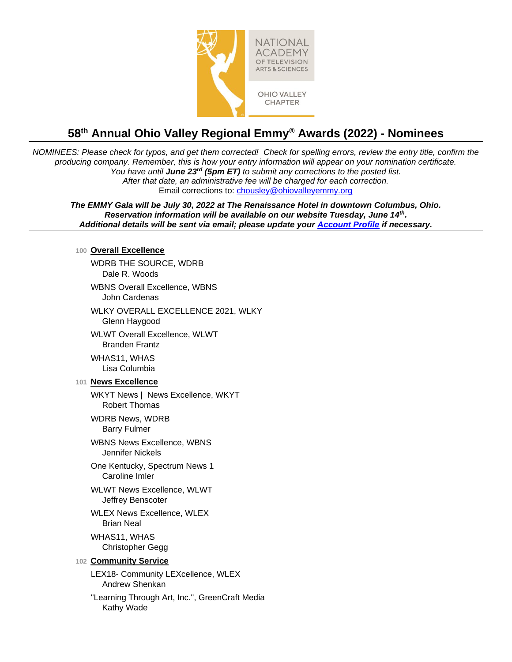

# **58 th Annual Ohio Valley Regional Emmy® Awards (2022) - Nominees**

*NOMINEES: Please check for typos, and get them corrected! Check for spelling errors, review the entry title, confirm the producing company. Remember, this is how your entry information will appear on your nomination certificate. You have until June 23<sup>rd</sup> (5pm ET)* to submit any corrections to the posted list. *After that date, an administrative fee will be charged for each correction.*  Email corrections to: [chousley@ohiovalleyemmy.org](mailto:chousley@ohiovalleyemmy.org)

*The EMMY Gala will be July 30, 2022 at The Renaissance Hotel in downtown Columbus, Ohio. Reservation information will be available on our website Tuesday, June 14th . Additional details will be sent via email; please update your [Account Profile](https://emmyexpress.com/membership_login/#/19) if necessary.*

#### **100 Overall Excellence**

WDRB THE SOURCE, WDRB Dale R. Woods

WBNS Overall Excellence, WBNS John Cardenas

WLKY OVERALL EXCELLENCE 2021, WLKY Glenn Haygood

WLWT Overall Excellence, WLWT Branden Frantz

WHAS11, WHAS Lisa Columbia

### **101 News Excellence**

WKYT News | News Excellence, WKYT Robert Thomas

WDRB News, WDRB Barry Fulmer

WBNS News Excellence, WBNS Jennifer Nickels

One Kentucky, Spectrum News 1 Caroline Imler

WLWT News Excellence, WLWT Jeffrey Benscoter

WLEX News Excellence, WLEX Brian Neal

WHAS11, WHAS Christopher Gegg

### **102 Community Service**

LEX18- Community LEXcellence, WLEX Andrew Shenkan

"Learning Through Art, Inc.", GreenCraft Media Kathy Wade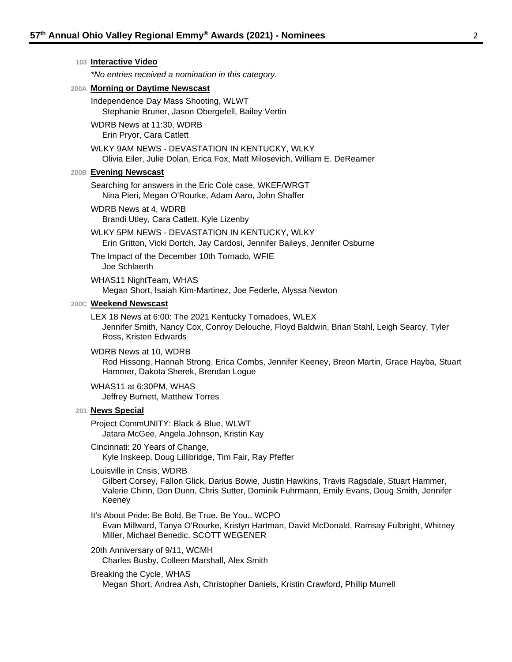## **103 Interactive Video** *\*No entries received a nomination in this category.* **200A Morning or Daytime Newscast** Independence Day Mass Shooting, WLWT Stephanie Bruner, Jason Obergefell, Bailey Vertin WDRB News at 11:30, WDRB Erin Pryor, Cara Catlett WLKY 9AM NEWS - DEVASTATION IN KENTUCKY, WLKY Olivia Eiler, Julie Dolan, Erica Fox, Matt Milosevich, William E. DeReamer **200B Evening Newscast** Searching for answers in the Eric Cole case, WKEF/WRGT Nina Pieri, Megan O'Rourke, Adam Aaro, John Shaffer WDRB News at 4, WDRB

- Brandi Utley, Cara Catlett, Kyle Lizenby
- WLKY 5PM NEWS DEVASTATION IN KENTUCKY, WLKY Erin Gritton, Vicki Dortch, Jay Cardosi, Jennifer Baileys, Jennifer Osburne

The Impact of the December 10th Tornado, WFIE Joe Schlaerth

WHAS11 NightTeam, WHAS Megan Short, Isaiah Kim-Martinez, Joe Federle, Alyssa Newton

#### **200C Weekend Newscast**

LEX 18 News at 6:00: The 2021 Kentucky Tornadoes, WLEX Jennifer Smith, Nancy Cox, Conroy Delouche, Floyd Baldwin, Brian Stahl, Leigh Searcy, Tyler Ross, Kristen Edwards

WDRB News at 10, WDRB Rod Hissong, Hannah Strong, Erica Combs, Jennifer Keeney, Breon Martin, Grace Hayba, Stuart Hammer, Dakota Sherek, Brendan Logue

WHAS11 at 6:30PM, WHAS Jeffrey Burnett, Matthew Torres

#### **201 News Special**

Project CommUNITY: Black & Blue, WLWT Jatara McGee, Angela Johnson, Kristin Kay

Cincinnati: 20 Years of Change, Kyle Inskeep, Doug Lillibridge, Tim Fair, Ray Pfeffer

Louisville in Crisis, WDRB

Gilbert Corsey, Fallon Glick, Darius Bowie, Justin Hawkins, Travis Ragsdale, Stuart Hammer, Valerie Chinn, Don Dunn, Chris Sutter, Dominik Fuhrmann, Emily Evans, Doug Smith, Jennifer Keeney

It's About Pride: Be Bold. Be True. Be You., WCPO Evan Millward, Tanya O'Rourke, Kristyn Hartman, David McDonald, Ramsay Fulbright, Whitney Miller, Michael Benedic, SCOTT WEGENER

20th Anniversary of 9/11, WCMH Charles Busby, Colleen Marshall, Alex Smith

Breaking the Cycle, WHAS Megan Short, Andrea Ash, Christopher Daniels, Kristin Crawford, Phillip Murrell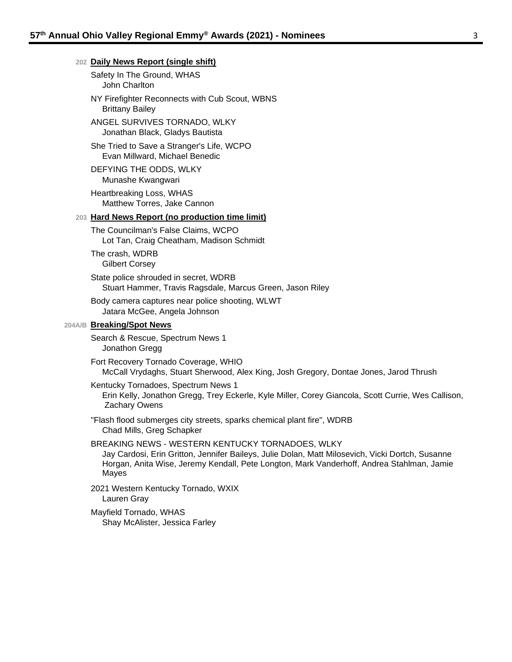#### **202 Daily News Report (single shift)**

Safety In The Ground, WHAS John Charlton

NY Firefighter Reconnects with Cub Scout, WBNS Brittany Bailey

ANGEL SURVIVES TORNADO, WLKY Jonathan Black, Gladys Bautista

She Tried to Save a Stranger's Life, WCPO Evan Millward, Michael Benedic

DEFYING THE ODDS, WLKY Munashe Kwangwari

Heartbreaking Loss, WHAS Matthew Torres, Jake Cannon

#### **203 Hard News Report (no production time limit)**

The Councilman's False Claims, WCPO Lot Tan, Craig Cheatham, Madison Schmidt

The crash, WDRB Gilbert Corsey

State police shrouded in secret, WDRB Stuart Hammer, Travis Ragsdale, Marcus Green, Jason Riley

Body camera captures near police shooting, WLWT Jatara McGee, Angela Johnson

#### **204A/B Breaking/Spot News**

Search & Rescue, Spectrum News 1 Jonathon Gregg

Fort Recovery Tornado Coverage, WHIO McCall Vrydaghs, Stuart Sherwood, Alex King, Josh Gregory, Dontae Jones, Jarod Thrush

Kentucky Tornadoes, Spectrum News 1

Erin Kelly, Jonathon Gregg, Trey Eckerle, Kyle Miller, Corey Giancola, Scott Currie, Wes Callison, Zachary Owens

"Flash flood submerges city streets, sparks chemical plant fire", WDRB Chad Mills, Greg Schapker

#### BREAKING NEWS - WESTERN KENTUCKY TORNADOES, WLKY

Jay Cardosi, Erin Gritton, Jennifer Baileys, Julie Dolan, Matt Milosevich, Vicki Dortch, Susanne Horgan, Anita Wise, Jeremy Kendall, Pete Longton, Mark Vanderhoff, Andrea Stahlman, Jamie Mayes

2021 Western Kentucky Tornado, WXIX Lauren Gray

Mayfield Tornado, WHAS Shay McAlister, Jessica Farley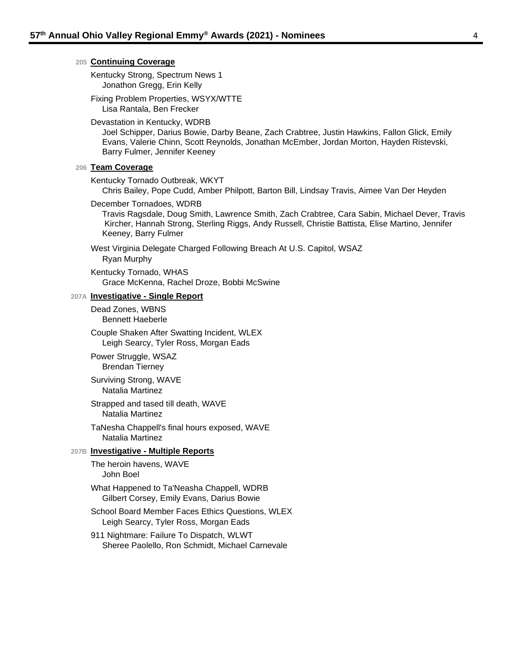#### **205 Continuing Coverage**

Kentucky Strong, Spectrum News 1 Jonathon Gregg, Erin Kelly

Fixing Problem Properties, WSYX/WTTE Lisa Rantala, Ben Frecker

#### Devastation in Kentucky, WDRB

Joel Schipper, Darius Bowie, Darby Beane, Zach Crabtree, Justin Hawkins, Fallon Glick, Emily Evans, Valerie Chinn, Scott Reynolds, Jonathan McEmber, Jordan Morton, Hayden Ristevski, Barry Fulmer, Jennifer Keeney

#### **206 Team Coverage**

Kentucky Tornado Outbreak, WKYT

Chris Bailey, Pope Cudd, Amber Philpott, Barton Bill, Lindsay Travis, Aimee Van Der Heyden

#### December Tornadoes, WDRB

Travis Ragsdale, Doug Smith, Lawrence Smith, Zach Crabtree, Cara Sabin, Michael Dever, Travis Kircher, Hannah Strong, Sterling Riggs, Andy Russell, Christie Battista, Elise Martino, Jennifer Keeney, Barry Fulmer

West Virginia Delegate Charged Following Breach At U.S. Capitol, WSAZ Ryan Murphy

Kentucky Tornado, WHAS Grace McKenna, Rachel Droze, Bobbi McSwine

#### **207A Investigative - Single Report**

Dead Zones, WBNS Bennett Haeberle

Couple Shaken After Swatting Incident, WLEX Leigh Searcy, Tyler Ross, Morgan Eads

Power Struggle, WSAZ Brendan Tierney

Surviving Strong, WAVE Natalia Martinez

Strapped and tased till death, WAVE Natalia Martinez

TaNesha Chappell's final hours exposed, WAVE Natalia Martinez

#### **207B Investigative - Multiple Reports**

The heroin havens, WAVE John Boel

What Happened to Ta'Neasha Chappell, WDRB Gilbert Corsey, Emily Evans, Darius Bowie

School Board Member Faces Ethics Questions, WLEX Leigh Searcy, Tyler Ross, Morgan Eads

911 Nightmare: Failure To Dispatch, WLWT Sheree Paolello, Ron Schmidt, Michael Carnevale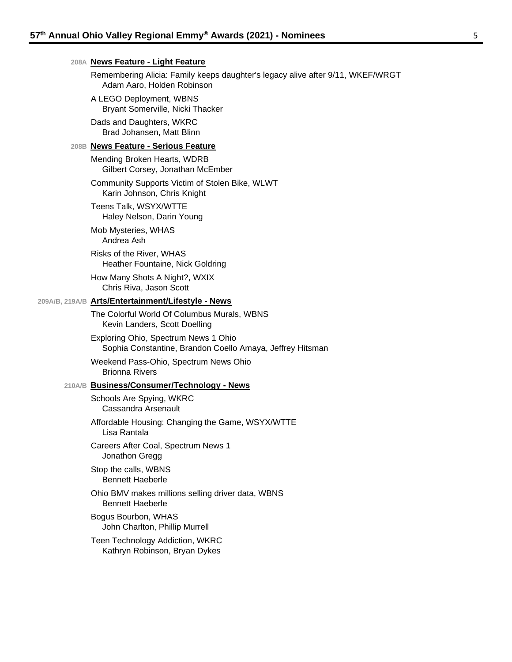#### **208A News Feature - Light Feature**

Remembering Alicia: Family keeps daughter's legacy alive after 9/11, WKEF/WRGT Adam Aaro, Holden Robinson

- A LEGO Deployment, WBNS Bryant Somerville, Nicki Thacker
- Dads and Daughters, WKRC Brad Johansen, Matt Blinn

#### **208B News Feature - Serious Feature**

Mending Broken Hearts, WDRB Gilbert Corsey, Jonathan McEmber

Community Supports Victim of Stolen Bike, WLWT Karin Johnson, Chris Knight

Teens Talk, WSYX/WTTE Haley Nelson, Darin Young

Mob Mysteries, WHAS Andrea Ash

Risks of the River, WHAS Heather Fountaine, Nick Goldring

How Many Shots A Night?, WXIX Chris Riva, Jason Scott

#### **209A/B, 219A/B Arts/Entertainment/Lifestyle - News**

The Colorful World Of Columbus Murals, WBNS Kevin Landers, Scott Doelling

Exploring Ohio, Spectrum News 1 Ohio Sophia Constantine, Brandon Coello Amaya, Jeffrey Hitsman

Weekend Pass-Ohio, Spectrum News Ohio Brionna Rivers

#### **210A/B Business/Consumer/Technology - News**

Schools Are Spying, WKRC Cassandra Arsenault

Affordable Housing: Changing the Game, WSYX/WTTE Lisa Rantala

Careers After Coal, Spectrum News 1 Jonathon Gregg

Stop the calls, WBNS Bennett Haeberle

Ohio BMV makes millions selling driver data, WBNS Bennett Haeberle

Bogus Bourbon, WHAS John Charlton, Phillip Murrell

Teen Technology Addiction, WKRC Kathryn Robinson, Bryan Dykes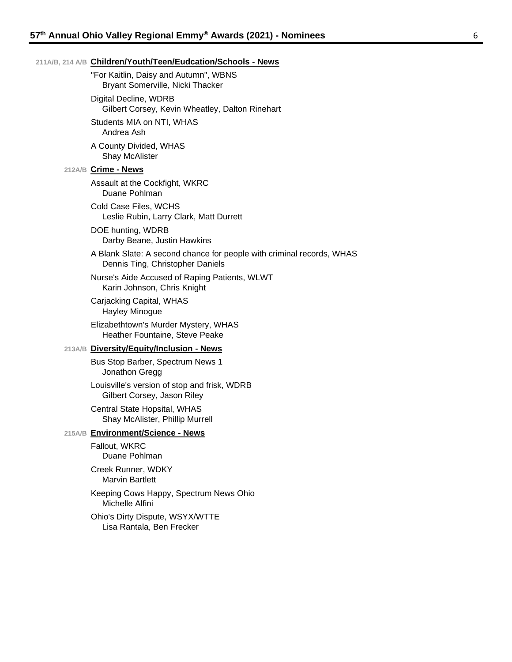#### **211A/B, 214 A/B Children/Youth/Teen/Eudcation/Schools - News**

"For Kaitlin, Daisy and Autumn", WBNS Bryant Somerville, Nicki Thacker

Digital Decline, WDRB Gilbert Corsey, Kevin Wheatley, Dalton Rinehart

Students MIA on NTI, WHAS Andrea Ash

A County Divided, WHAS Shay McAlister

#### **212A/B Crime - News**

Assault at the Cockfight, WKRC Duane Pohlman

Cold Case Files, WCHS Leslie Rubin, Larry Clark, Matt Durrett

DOE hunting, WDRB Darby Beane, Justin Hawkins

A Blank Slate: A second chance for people with criminal records, WHAS Dennis Ting, Christopher Daniels

Nurse's Aide Accused of Raping Patients, WLWT Karin Johnson, Chris Knight

Carjacking Capital, WHAS Hayley Minogue

Elizabethtown's Murder Mystery, WHAS Heather Fountaine, Steve Peake

#### **213A/B Diversity/Equity/Inclusion - News**

Bus Stop Barber, Spectrum News 1 Jonathon Gregg

Louisville's version of stop and frisk, WDRB Gilbert Corsey, Jason Riley

Central State Hopsital, WHAS Shay McAlister, Phillip Murrell

### **215A/B Environment/Science - News**

Fallout, WKRC Duane Pohlman

Creek Runner, WDKY Marvin Bartlett

Keeping Cows Happy, Spectrum News Ohio Michelle Alfini

Ohio's Dirty Dispute, WSYX/WTTE Lisa Rantala, Ben Frecker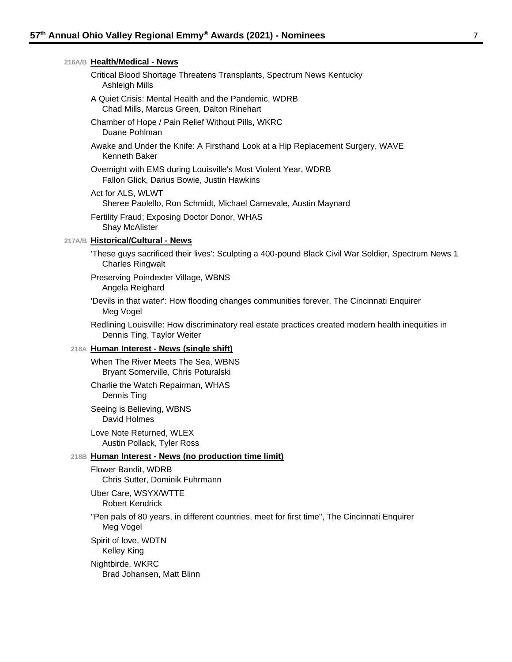| 216A/B Health/Medical - News                                                                                                     |
|----------------------------------------------------------------------------------------------------------------------------------|
| Critical Blood Shortage Threatens Transplants, Spectrum News Kentucky<br><b>Ashleigh Mills</b>                                   |
| A Quiet Crisis: Mental Health and the Pandemic, WDRB<br>Chad Mills, Marcus Green, Dalton Rinehart                                |
| Chamber of Hope / Pain Relief Without Pills, WKRC<br>Duane Pohlman                                                               |
| Awake and Under the Knife: A Firsthand Look at a Hip Replacement Surgery, WAVE<br>Kenneth Baker                                  |
| Overnight with EMS during Louisville's Most Violent Year, WDRB<br>Fallon Glick, Darius Bowie, Justin Hawkins                     |
| Act for ALS, WLWT<br>Sheree Paolello, Ron Schmidt, Michael Carnevale, Austin Maynard                                             |
| Fertility Fraud; Exposing Doctor Donor, WHAS<br>Shay McAlister                                                                   |
| 217A/B Historical/Cultural - News                                                                                                |
| These guys sacrificed their lives': Sculpting a 400-pound Black Civil War Soldier, Spectrum News 1<br><b>Charles Ringwalt</b>    |
| Preserving Poindexter Village, WBNS<br>Angela Reighard                                                                           |
| 'Devils in that water': How flooding changes communities forever, The Cincinnati Enquirer<br>Meg Vogel                           |
| Redlining Louisville: How discriminatory real estate practices created modern health inequities in<br>Dennis Ting, Taylor Weiter |
| 218A Human Interest - News (single shift)                                                                                        |
| When The River Meets The Sea, WBNS<br>Bryant Somerville, Chris Poturalski                                                        |
| Charlie the Watch Repairman, WHAS<br>Dennis Ting                                                                                 |
| Seeing is Believing, WBNS<br>David Holmes                                                                                        |
| Love Note Returned, WLEX<br>Austin Pollack, Tyler Ross                                                                           |
| 218B Human Interest - News (no production time limit)                                                                            |
| Flower Bandit, WDRB<br>Chris Sutter, Dominik Fuhrmann                                                                            |
| Uber Care, WSYX/WTTE<br><b>Robert Kendrick</b>                                                                                   |
| "Pen pals of 80 years, in different countries, meet for first time", The Cincinnati Enquirer<br>Meg Vogel                        |
| Spirit of love, WDTN<br>Kelley King                                                                                              |
| Nightbirde, WKRC                                                                                                                 |

Brad Johansen, Matt Blinn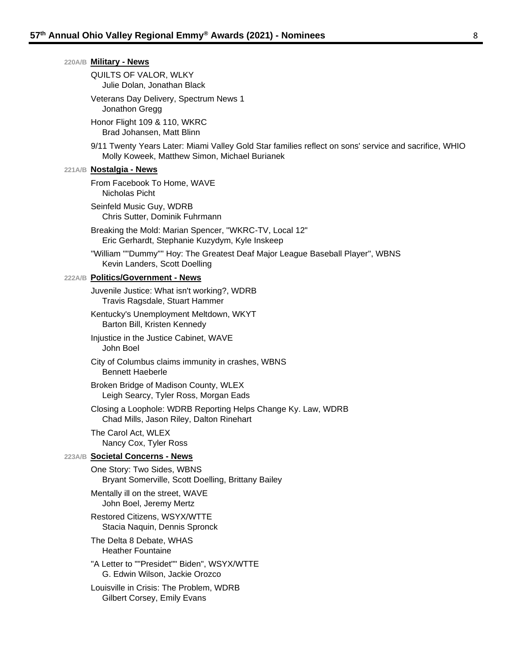|  | 220A/B Military - News                                                                                                                                 |
|--|--------------------------------------------------------------------------------------------------------------------------------------------------------|
|  | QUILTS OF VALOR, WLKY<br>Julie Dolan, Jonathan Black                                                                                                   |
|  | Veterans Day Delivery, Spectrum News 1<br>Jonathon Gregg                                                                                               |
|  | Honor Flight 109 & 110, WKRC<br>Brad Johansen, Matt Blinn                                                                                              |
|  | 9/11 Twenty Years Later: Miami Valley Gold Star families reflect on sons' service and sacrifice, WHIO<br>Molly Koweek, Matthew Simon, Michael Burianek |
|  | 221A/B <b>Nostalgia - News</b>                                                                                                                         |
|  | From Facebook To Home, WAVE<br>Nicholas Picht                                                                                                          |
|  | Seinfeld Music Guy, WDRB<br>Chris Sutter, Dominik Fuhrmann                                                                                             |
|  | Breaking the Mold: Marian Spencer, "WKRC-TV, Local 12"<br>Eric Gerhardt, Stephanie Kuzydym, Kyle Inskeep                                               |
|  | "William ""Dummy"" Hoy: The Greatest Deaf Major League Baseball Player", WBNS<br>Kevin Landers, Scott Doelling                                         |
|  | 222A/B Politics/Government - News                                                                                                                      |
|  | Juvenile Justice: What isn't working?, WDRB<br>Travis Ragsdale, Stuart Hammer                                                                          |
|  | Kentucky's Unemployment Meltdown, WKYT<br>Barton Bill, Kristen Kennedy                                                                                 |
|  | Injustice in the Justice Cabinet, WAVE<br>John Boel                                                                                                    |
|  | City of Columbus claims immunity in crashes, WBNS<br><b>Bennett Haeberle</b>                                                                           |
|  | Broken Bridge of Madison County, WLEX<br>Leigh Searcy, Tyler Ross, Morgan Eads                                                                         |
|  | Closing a Loophole: WDRB Reporting Helps Change Ky. Law, WDRB<br>Chad Mills, Jason Riley, Dalton Rinehart                                              |
|  | The Carol Act, WLEX<br>Nancy Cox, Tyler Ross                                                                                                           |
|  | 223A/B Societal Concerns - News                                                                                                                        |
|  | One Story: Two Sides, WBNS<br>Bryant Somerville, Scott Doelling, Brittany Bailey                                                                       |
|  | Mentally ill on the street, WAVE<br>John Boel, Jeremy Mertz                                                                                            |
|  | Restored Citizens, WSYX/WTTE<br>Stacia Naquin, Dennis Spronck                                                                                          |
|  | The Delta 8 Debate, WHAS<br><b>Heather Fountaine</b>                                                                                                   |
|  | "A Letter to ""Presidet"" Biden", WSYX/WTTE<br>G. Edwin Wilson, Jackie Orozco                                                                          |
|  | Louisville in Crisis: The Problem, WDRB<br>Gilbert Corsey, Emily Evans                                                                                 |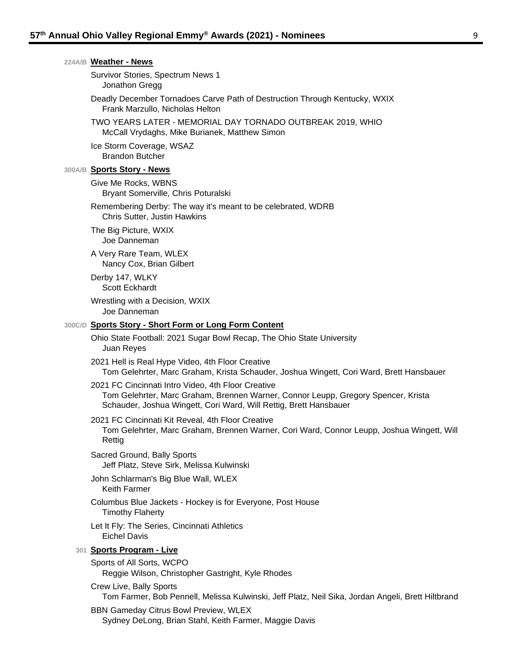| 224A/B Weather - News                                                                                                                                                                                        |
|--------------------------------------------------------------------------------------------------------------------------------------------------------------------------------------------------------------|
| Survivor Stories, Spectrum News 1<br>Jonathon Gregg                                                                                                                                                          |
| Deadly December Tornadoes Carve Path of Destruction Through Kentucky, WXIX<br>Frank Marzullo, Nicholas Helton                                                                                                |
| TWO YEARS LATER - MEMORIAL DAY TORNADO OUTBREAK 2019, WHIO<br>McCall Vrydaghs, Mike Burianek, Matthew Simon                                                                                                  |
| Ice Storm Coverage, WSAZ<br><b>Brandon Butcher</b>                                                                                                                                                           |
| 300A/B Sports Story - News                                                                                                                                                                                   |
| Give Me Rocks, WBNS<br>Bryant Somerville, Chris Poturalski                                                                                                                                                   |
| Remembering Derby: The way it's meant to be celebrated, WDRB<br>Chris Sutter, Justin Hawkins                                                                                                                 |
| The Big Picture, WXIX<br>Joe Danneman                                                                                                                                                                        |
| A Very Rare Team, WLEX<br>Nancy Cox, Brian Gilbert                                                                                                                                                           |
| Derby 147, WLKY<br>Scott Eckhardt                                                                                                                                                                            |
| Wrestling with a Decision, WXIX<br>Joe Danneman                                                                                                                                                              |
| 300C/D Sports Story - Short Form or Long Form Content                                                                                                                                                        |
| Ohio State Football: 2021 Sugar Bowl Recap, The Ohio State University<br>Juan Reyes                                                                                                                          |
| 2021 Hell is Real Hype Video, 4th Floor Creative<br>Tom Gelehrter, Marc Graham, Krista Schauder, Joshua Wingett, Cori Ward, Brett Hansbauer                                                                  |
| 2021 FC Cincinnati Intro Video, 4th Floor Creative<br>Tom Gelehrter, Marc Graham, Brennen Warner, Connor Leupp, Gregory Spencer, Krista<br>Schauder, Joshua Wingett, Cori Ward, Will Rettig, Brett Hansbauer |
| 2021 FC Cincinnati Kit Reveal, 4th Floor Creative<br>Tom Gelehrter, Marc Graham, Brennen Warner, Cori Ward, Connor Leupp, Joshua Wingett, Will<br>Rettig                                                     |
| Sacred Ground, Bally Sports<br>Jeff Platz, Steve Sirk, Melissa Kulwinski                                                                                                                                     |
| John Schlarman's Big Blue Wall, WLEX<br><b>Keith Farmer</b>                                                                                                                                                  |
| Columbus Blue Jackets - Hockey is for Everyone, Post House<br><b>Timothy Flaherty</b>                                                                                                                        |
| Let It Fly: The Series, Cincinnati Athletics<br><b>Eichel Davis</b>                                                                                                                                          |
| 301 Sports Program - Live                                                                                                                                                                                    |
| Sports of All Sorts, WCPO<br>Reggie Wilson, Christopher Gastright, Kyle Rhodes                                                                                                                               |
| Crew Live, Bally Sports<br>Tom Farmer, Bob Pennell, Melissa Kulwinski, Jeff Platz, Neil Sika, Jordan Angeli, Brett Hiltbrand                                                                                 |
| <b>BBN Gameday Citrus Bowl Preview, WLEX</b><br>Sydney DeLong, Brian Stahl, Keith Farmer, Maggie Davis                                                                                                       |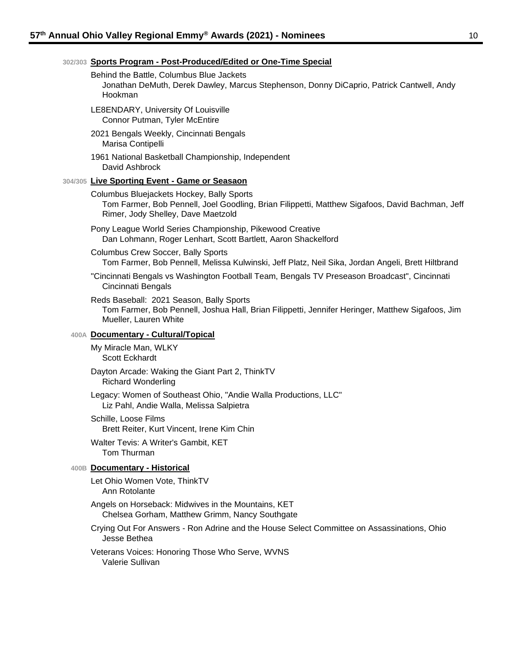#### **302/303 Sports Program - Post-Produced/Edited or One-Time Special**

#### Behind the Battle, Columbus Blue Jackets

Jonathan DeMuth, Derek Dawley, Marcus Stephenson, Donny DiCaprio, Patrick Cantwell, Andy Hookman

- LE8ENDARY, University Of Louisville Connor Putman, Tyler McEntire
- 2021 Bengals Weekly, Cincinnati Bengals Marisa Contipelli
- 1961 National Basketball Championship, Independent David Ashbrock

#### **304/305 Live Sporting Event - Game or Seasaon**

Columbus Bluejackets Hockey, Bally Sports Tom Farmer, Bob Pennell, Joel Goodling, Brian Filippetti, Matthew Sigafoos, David Bachman, Jeff Rimer, Jody Shelley, Dave Maetzold

- Pony League World Series Championship, Pikewood Creative Dan Lohmann, Roger Lenhart, Scott Bartlett, Aaron Shackelford
- Columbus Crew Soccer, Bally Sports

Tom Farmer, Bob Pennell, Melissa Kulwinski, Jeff Platz, Neil Sika, Jordan Angeli, Brett Hiltbrand

"Cincinnati Bengals vs Washington Football Team, Bengals TV Preseason Broadcast", Cincinnati Cincinnati Bengals

Reds Baseball: 2021 Season, Bally Sports

Tom Farmer, Bob Pennell, Joshua Hall, Brian Filippetti, Jennifer Heringer, Matthew Sigafoos, Jim Mueller, Lauren White

#### **400A Documentary - Cultural/Topical**

My Miracle Man, WLKY Scott Eckhardt

Dayton Arcade: Waking the Giant Part 2, ThinkTV

Richard Wonderling

Legacy: Women of Southeast Ohio, "Andie Walla Productions, LLC" Liz Pahl, Andie Walla, Melissa Salpietra

Schille, Loose Films Brett Reiter, Kurt Vincent, Irene Kim Chin

Walter Tevis: A Writer's Gambit, KET Tom Thurman

#### **400B Documentary - Historical**

Let Ohio Women Vote, ThinkTV Ann Rotolante

Angels on Horseback: Midwives in the Mountains, KET Chelsea Gorham, Matthew Grimm, Nancy Southgate

Crying Out For Answers - Ron Adrine and the House Select Committee on Assassinations, Ohio Jesse Bethea

Veterans Voices: Honoring Those Who Serve, WVNS Valerie Sullivan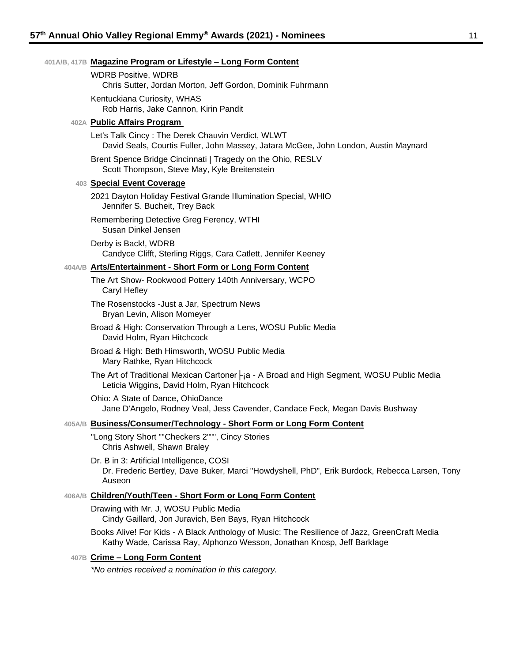#### **401A/B, 417B Magazine Program or Lifestyle – Long Form Content**

WDRB Positive, WDRB Chris Sutter, Jordan Morton, Jeff Gordon, Dominik Fuhrmann Kentuckiana Curiosity, WHAS Rob Harris, Jake Cannon, Kirin Pandit

#### **402A Public Affairs Program**

- Let's Talk Cincy : The Derek Chauvin Verdict, WLWT David Seals, Courtis Fuller, John Massey, Jatara McGee, John London, Austin Maynard
- Brent Spence Bridge Cincinnati | Tragedy on the Ohio, RESLV Scott Thompson, Steve May, Kyle Breitenstein

#### **403 Special Event Coverage**

- 2021 Dayton Holiday Festival Grande Illumination Special, WHIO Jennifer S. Bucheit, Trey Back
- Remembering Detective Greg Ferency, WTHI Susan Dinkel Jensen
- Derby is Back!, WDRB Candyce Clifft, Sterling Riggs, Cara Catlett, Jennifer Keeney

#### **404A/B Arts/Entertainment - Short Form or Long Form Content**

- The Art Show- Rookwood Pottery 140th Anniversary, WCPO Caryl Hefley
- The Rosenstocks -Just a Jar, Spectrum News Bryan Levin, Alison Momeyer
- Broad & High: Conservation Through a Lens, WOSU Public Media David Holm, Ryan Hitchcock
- Broad & High: Beth Himsworth, WOSU Public Media Mary Rathke, Ryan Hitchcock
- The Art of Traditional Mexican Cartoner  $\vdash$  a A Broad and High Segment, WOSU Public Media Leticia Wiggins, David Holm, Ryan Hitchcock
- Ohio: A State of Dance, OhioDance Jane D'Angelo, Rodney Veal, Jess Cavender, Candace Feck, Megan Davis Bushway

#### **405A/B Business/Consumer/Technology - Short Form or Long Form Content**

"Long Story Short ""Checkers 2""", Cincy Stories Chris Ashwell, Shawn Braley

Dr. B in 3: Artificial Intelligence, COSI Dr. Frederic Bertley, Dave Buker, Marci "Howdyshell, PhD", Erik Burdock, Rebecca Larsen, Tony Auseon

#### **406A/B Children/Youth/Teen - Short Form or Long Form Content**

Drawing with Mr. J, WOSU Public Media Cindy Gaillard, Jon Juravich, Ben Bays, Ryan Hitchcock

Books Alive! For Kids - A Black Anthology of Music: The Resilience of Jazz, GreenCraft Media Kathy Wade, Carissa Ray, Alphonzo Wesson, Jonathan Knosp, Jeff Barklage

#### **407B Crime – Long Form Content**

*\*No entries received a nomination in this category.*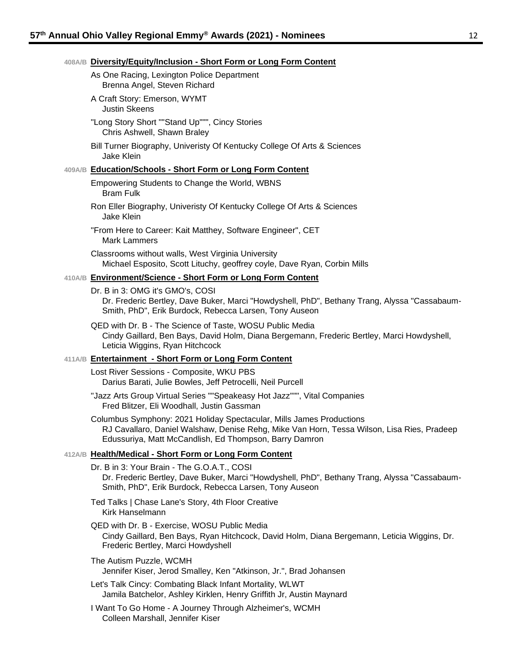Colleen Marshall, Jennifer Kiser

|        | 408A/B Diversity/Equity/Inclusion - Short Form or Long Form Content                                                                                                                                                          |
|--------|------------------------------------------------------------------------------------------------------------------------------------------------------------------------------------------------------------------------------|
|        | As One Racing, Lexington Police Department<br>Brenna Angel, Steven Richard                                                                                                                                                   |
|        | A Craft Story: Emerson, WYMT<br><b>Justin Skeens</b>                                                                                                                                                                         |
|        | "Long Story Short ""Stand Up""", Cincy Stories<br>Chris Ashwell, Shawn Braley                                                                                                                                                |
|        | Bill Turner Biography, Univeristy Of Kentucky College Of Arts & Sciences<br><b>Jake Klein</b>                                                                                                                                |
|        | 409A/B Education/Schools - Short Form or Long Form Content                                                                                                                                                                   |
|        | Empowering Students to Change the World, WBNS<br><b>Bram Fulk</b>                                                                                                                                                            |
|        | Ron Eller Biography, Univeristy Of Kentucky College Of Arts & Sciences<br><b>Jake Klein</b>                                                                                                                                  |
|        | "From Here to Career: Kait Matthey, Software Engineer", CET<br><b>Mark Lammers</b>                                                                                                                                           |
|        | Classrooms without walls, West Virginia University<br>Michael Esposito, Scott Lituchy, geoffrey coyle, Dave Ryan, Corbin Mills                                                                                               |
|        | 410A/B Environment/Science - Short Form or Long Form Content                                                                                                                                                                 |
|        | Dr. B in 3: OMG it's GMO's, COSI<br>Dr. Frederic Bertley, Dave Buker, Marci "Howdyshell, PhD", Bethany Trang, Alyssa "Cassabaum-<br>Smith, PhD", Erik Burdock, Rebecca Larsen, Tony Auseon                                   |
|        | QED with Dr. B - The Science of Taste, WOSU Public Media<br>Cindy Gaillard, Ben Bays, David Holm, Diana Bergemann, Frederic Bertley, Marci Howdyshell,<br>Leticia Wiggins, Ryan Hitchcock                                    |
|        | 411A/B Entertainment - Short Form or Long Form Content                                                                                                                                                                       |
|        | Lost River Sessions - Composite, WKU PBS<br>Darius Barati, Julie Bowles, Jeff Petrocelli, Neil Purcell                                                                                                                       |
|        | "Jazz Arts Group Virtual Series ""Speakeasy Hot Jazz""", Vital Companies<br>Fred Blitzer, Eli Woodhall, Justin Gassman                                                                                                       |
|        | Columbus Symphony: 2021 Holiday Spectacular, Mills James Productions<br>RJ Cavallaro, Daniel Walshaw, Denise Rehg, Mike Van Horn, Tessa Wilson, Lisa Ries, Pradeep<br>Edussuriya, Matt McCandlish, Ed Thompson, Barry Damron |
| 412A/B | <b>Health/Medical - Short Form or Long Form Content</b>                                                                                                                                                                      |
|        | Dr. B in 3: Your Brain - The G.O.A.T., COSI<br>Dr. Frederic Bertley, Dave Buker, Marci "Howdyshell, PhD", Bethany Trang, Alyssa "Cassabaum-<br>Smith, PhD", Erik Burdock, Rebecca Larsen, Tony Auseon                        |
|        | Ted Talks   Chase Lane's Story, 4th Floor Creative<br>Kirk Hanselmann                                                                                                                                                        |
|        | QED with Dr. B - Exercise, WOSU Public Media<br>Cindy Gaillard, Ben Bays, Ryan Hitchcock, David Holm, Diana Bergemann, Leticia Wiggins, Dr.<br>Frederic Bertley, Marci Howdyshell                                            |
|        | The Autism Puzzle, WCMH<br>Jennifer Kiser, Jerod Smalley, Ken "Atkinson, Jr.", Brad Johansen                                                                                                                                 |
|        | Let's Talk Cincy: Combating Black Infant Mortality, WLWT<br>Jamila Batchelor, Ashley Kirklen, Henry Griffith Jr, Austin Maynard                                                                                              |
|        | I Want To Go Home - A Journey Through Alzheimer's, WCMH                                                                                                                                                                      |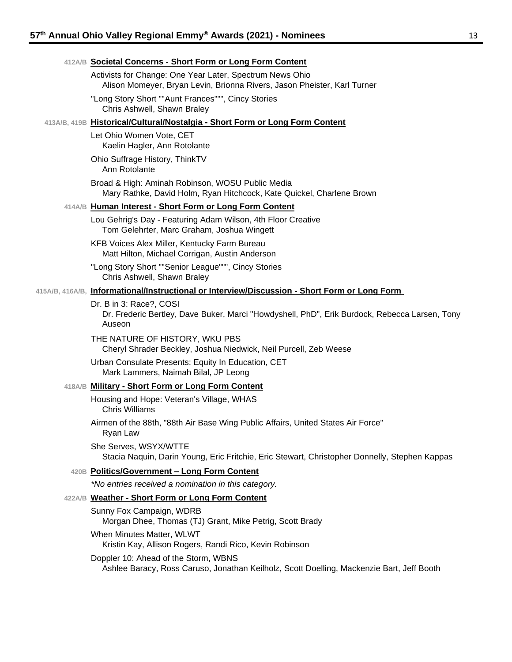#### **412A/B Societal Concerns - Short Form or Long Form Content**

Activists for Change: One Year Later, Spectrum News Ohio Alison Momeyer, Bryan Levin, Brionna Rivers, Jason Pheister, Karl Turner

"Long Story Short ""Aunt Frances""", Cincy Stories Chris Ashwell, Shawn Braley

#### **413A/B, 419B Historical/Cultural/Nostalgia - Short Form or Long Form Content**

Let Ohio Women Vote, CET Kaelin Hagler, Ann Rotolante

Ohio Suffrage History, ThinkTV Ann Rotolante

Broad & High: Aminah Robinson, WOSU Public Media Mary Rathke, David Holm, Ryan Hitchcock, Kate Quickel, Charlene Brown

### **414A/B Human Interest - Short Form or Long Form Content**

Lou Gehrig's Day - Featuring Adam Wilson, 4th Floor Creative Tom Gelehrter, Marc Graham, Joshua Wingett

KFB Voices Alex Miller, Kentucky Farm Bureau Matt Hilton, Michael Corrigan, Austin Anderson

"Long Story Short ""Senior League""", Cincy Stories Chris Ashwell, Shawn Braley

#### **415A/B, 416A/B, Informational/Instructional or Interview/Discussion - Short Form or Long Form**

Dr. B in 3: Race?, COSI

Dr. Frederic Bertley, Dave Buker, Marci "Howdyshell, PhD", Erik Burdock, Rebecca Larsen, Tony Auseon

THE NATURE OF HISTORY, WKU PBS Cheryl Shrader Beckley, Joshua Niedwick, Neil Purcell, Zeb Weese

Urban Consulate Presents: Equity In Education, CET Mark Lammers, Naimah Bilal, JP Leong

#### **418A/B Military - Short Form or Long Form Content**

Housing and Hope: Veteran's Village, WHAS Chris Williams

Airmen of the 88th, "88th Air Base Wing Public Affairs, United States Air Force" Ryan Law

She Serves, WSYX/WTTE Stacia Naquin, Darin Young, Eric Fritchie, Eric Stewart, Christopher Donnelly, Stephen Kappas

#### **420B Politics/Government – Long Form Content**

*\*No entries received a nomination in this category.*

#### **422A/B Weather - Short Form or Long Form Content**

Sunny Fox Campaign, WDRB Morgan Dhee, Thomas (TJ) Grant, Mike Petrig, Scott Brady When Minutes Matter, WLWT Kristin Kay, Allison Rogers, Randi Rico, Kevin Robinson Doppler 10: Ahead of the Storm, WBNS

Ashlee Baracy, Ross Caruso, Jonathan Keilholz, Scott Doelling, Mackenzie Bart, Jeff Booth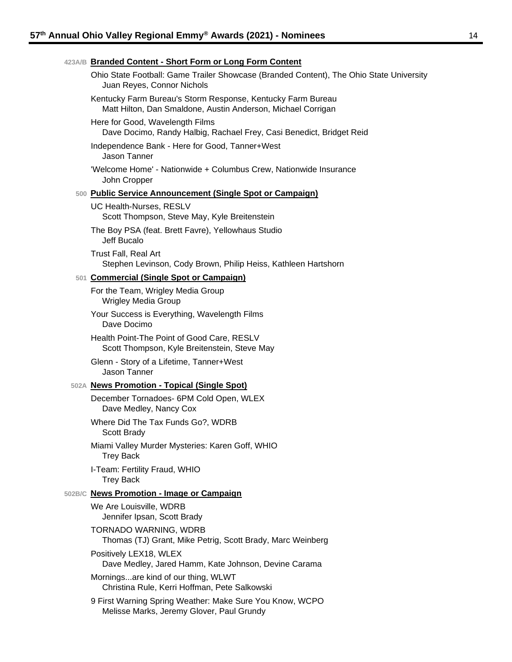| 423A/B Branded Content - Short Form or Long Form Content                                                                    |
|-----------------------------------------------------------------------------------------------------------------------------|
| Ohio State Football: Game Trailer Showcase (Branded Content), The Ohio State University<br>Juan Reyes, Connor Nichols       |
| Kentucky Farm Bureau's Storm Response, Kentucky Farm Bureau<br>Matt Hilton, Dan Smaldone, Austin Anderson, Michael Corrigan |
| Here for Good, Wavelength Films<br>Dave Docimo, Randy Halbig, Rachael Frey, Casi Benedict, Bridget Reid                     |
| Independence Bank - Here for Good, Tanner+West<br>Jason Tanner                                                              |
| 'Welcome Home' - Nationwide + Columbus Crew, Nationwide Insurance<br>John Cropper                                           |
| 500 Public Service Announcement (Single Spot or Campaign)                                                                   |
| UC Health-Nurses, RESLV<br>Scott Thompson, Steve May, Kyle Breitenstein                                                     |
| The Boy PSA (feat. Brett Favre), Yellowhaus Studio<br>Jeff Bucalo                                                           |
| <b>Trust Fall, Real Art</b><br>Stephen Levinson, Cody Brown, Philip Heiss, Kathleen Hartshorn                               |
| 501 Commercial (Single Spot or Campaign)                                                                                    |
| For the Team, Wrigley Media Group<br><b>Wrigley Media Group</b>                                                             |
| Your Success is Everything, Wavelength Films<br>Dave Docimo                                                                 |
| Health Point-The Point of Good Care, RESLV<br>Scott Thompson, Kyle Breitenstein, Steve May                                  |
| Glenn - Story of a Lifetime, Tanner+West<br>Jason Tanner                                                                    |
| 502A News Promotion - Topical (Single Spot)                                                                                 |
| December Tornadoes- 6PM Cold Open, WLEX<br>Dave Medley, Nancy Cox                                                           |
| Where Did The Tax Funds Go?, WDRB<br>Scott Brady                                                                            |
| Miami Valley Murder Mysteries: Karen Goff, WHIO<br><b>Trey Back</b>                                                         |
| I-Team: Fertility Fraud, WHIO<br><b>Trey Back</b>                                                                           |
| 502B/C News Promotion - Image or Campaign                                                                                   |
| We Are Louisville, WDRB<br>Jennifer Ipsan, Scott Brady                                                                      |
| TORNADO WARNING, WDRB<br>Thomas (TJ) Grant, Mike Petrig, Scott Brady, Marc Weinberg                                         |
| Positively LEX18, WLEX<br>Dave Medley, Jared Hamm, Kate Johnson, Devine Carama                                              |
| Morningsare kind of our thing, WLWT<br>Christina Rule, Kerri Hoffman, Pete Salkowski                                        |
| 9 First Warning Spring Weather: Make Sure You Know, WCPO<br>Melisse Marks, Jeremy Glover, Paul Grundy                       |
|                                                                                                                             |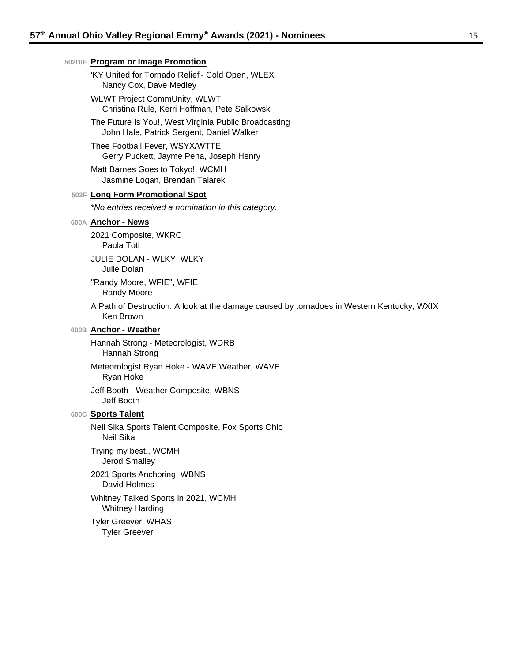#### **502D/E Program or Image Promotion**

'KY United for Tornado Relief'- Cold Open, WLEX Nancy Cox, Dave Medley

WLWT Project CommUnity, WLWT Christina Rule, Kerri Hoffman, Pete Salkowski

The Future Is You!, West Virginia Public Broadcasting John Hale, Patrick Sergent, Daniel Walker

Thee Football Fever, WSYX/WTTE Gerry Puckett, Jayme Pena, Joseph Henry

Matt Barnes Goes to Tokyo!, WCMH Jasmine Logan, Brendan Talarek

#### **502F Long Form Promotional Spot**

*\*No entries received a nomination in this category.*

#### **600A Anchor - News**

2021 Composite, WKRC Paula Toti

JULIE DOLAN - WLKY, WLKY Julie Dolan

"Randy Moore, WFIE", WFIE Randy Moore

A Path of Destruction: A look at the damage caused by tornadoes in Western Kentucky, WXIX Ken Brown

#### **600B Anchor - Weather**

Hannah Strong - Meteorologist, WDRB Hannah Strong

Meteorologist Ryan Hoke - WAVE Weather, WAVE Ryan Hoke

Jeff Booth - Weather Composite, WBNS Jeff Booth

#### **600C Sports Talent**

Neil Sika Sports Talent Composite, Fox Sports Ohio Neil Sika

Trying my best., WCMH Jerod Smalley

2021 Sports Anchoring, WBNS David Holmes

Whitney Talked Sports in 2021, WCMH Whitney Harding

Tyler Greever, WHAS Tyler Greever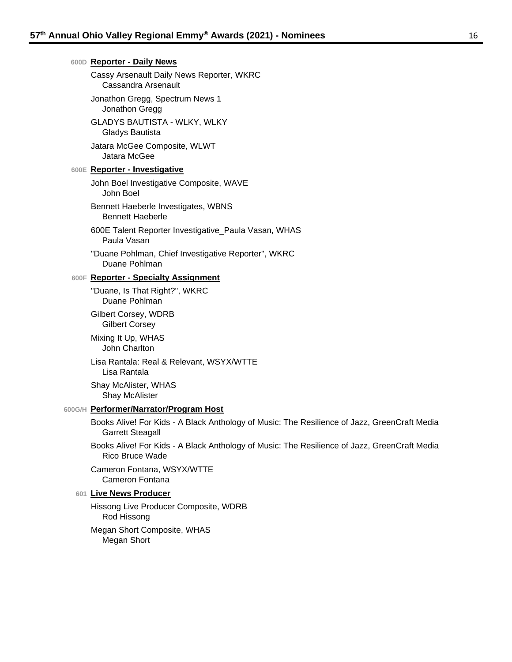| 600D Reporter - Daily News                                                                                              |
|-------------------------------------------------------------------------------------------------------------------------|
| Cassy Arsenault Daily News Reporter, WKRC<br>Cassandra Arsenault                                                        |
| Jonathon Gregg, Spectrum News 1<br>Jonathon Gregg                                                                       |
| <b>GLADYS BAUTISTA - WLKY, WLKY</b><br>Gladys Bautista                                                                  |
| Jatara McGee Composite, WLWT<br>Jatara McGee                                                                            |
| <b>600E Reporter - Investigative</b>                                                                                    |
| John Boel Investigative Composite, WAVE<br>John Boel                                                                    |
| Bennett Haeberle Investigates, WBNS<br><b>Bennett Haeberle</b>                                                          |
| 600E Talent Reporter Investigative_Paula Vasan, WHAS<br>Paula Vasan                                                     |
| "Duane Pohlman, Chief Investigative Reporter", WKRC<br>Duane Pohlman                                                    |
| 600F Reporter - Specialty Assignment                                                                                    |
| "Duane, Is That Right?", WKRC<br>Duane Pohlman                                                                          |
| Gilbert Corsey, WDRB<br><b>Gilbert Corsey</b>                                                                           |
| Mixing It Up, WHAS<br>John Charlton                                                                                     |
| Lisa Rantala: Real & Relevant, WSYX/WTTE<br>Lisa Rantala                                                                |
| Shay McAlister, WHAS<br>Shay McAlister                                                                                  |
| 600G/H Performer/Narrator/Program Host                                                                                  |
| Books Alive! For Kids - A Black Anthology of Music: The Resilience of Jazz, GreenCraft Media<br><b>Garrett Steagall</b> |
| Books Alive! For Kids - A Black Anthology of Music: The Resilience of Jazz, GreenCraft Media<br><b>Rico Bruce Wade</b>  |
| Cameron Fontana, WSYX/WTTE<br>Cameron Fontana                                                                           |
| 601 Live News Producer                                                                                                  |
| Hissong Live Producer Composite, WDRB<br>Rod Hissong                                                                    |

Megan Short Composite, WHAS Megan Short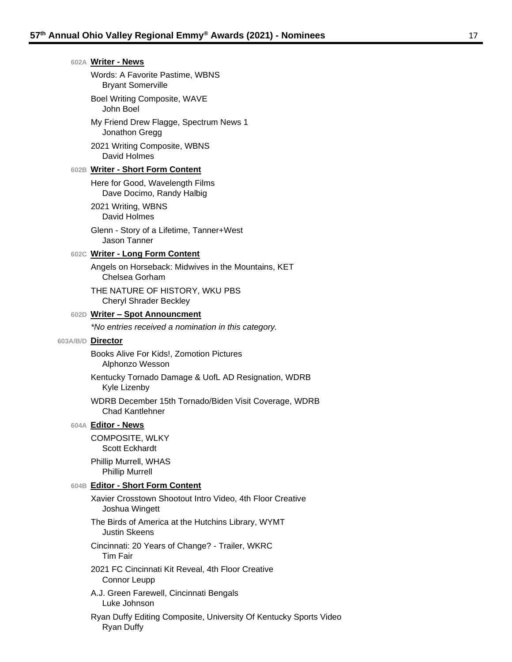| 602A Writer - News                                                                     |
|----------------------------------------------------------------------------------------|
| Words: A Favorite Pastime, WBNS<br><b>Bryant Somerville</b>                            |
| Boel Writing Composite, WAVE<br>John Boel                                              |
| My Friend Drew Flagge, Spectrum News 1<br>Jonathon Gregg                               |
| 2021 Writing Composite, WBNS<br>David Holmes                                           |
| 602B Writer - Short Form Content                                                       |
| Here for Good, Wavelength Films<br>Dave Docimo, Randy Halbig                           |
| 2021 Writing, WBNS<br>David Holmes                                                     |
| Glenn - Story of a Lifetime, Tanner+West<br>Jason Tanner                               |
| 602C Writer - Long Form Content                                                        |
| Angels on Horseback: Midwives in the Mountains, KET<br>Chelsea Gorham                  |
| THE NATURE OF HISTORY, WKU PBS<br><b>Cheryl Shrader Beckley</b>                        |
| 602D Writer - Spot Announcment                                                         |
| *No entries received a nomination in this category.                                    |
| 603A/B/D Director                                                                      |
| Books Alive For Kids!, Zomotion Pictures<br>Alphonzo Wesson                            |
| Kentucky Tornado Damage & UofL AD Resignation, WDRB<br>Kyle Lizenby                    |
| WDRB December 15th Tornado/Biden Visit Coverage, WDRB<br><b>Chad Kantlehner</b>        |
| 604A Editor - News                                                                     |
| <b>COMPOSITE, WLKY</b><br>Scott Eckhardt                                               |
| Phillip Murrell, WHAS<br><b>Phillip Murrell</b>                                        |
| 604B Editor - Short Form Content                                                       |
| Xavier Crosstown Shootout Intro Video, 4th Floor Creative<br>Joshua Wingett            |
| The Birds of America at the Hutchins Library, WYMT<br><b>Justin Skeens</b>             |
| Cincinnati: 20 Years of Change? - Trailer, WKRC<br><b>Tim Fair</b>                     |
| 2021 FC Cincinnati Kit Reveal, 4th Floor Creative<br>Connor Leupp                      |
| A.J. Green Farewell, Cincinnati Bengals<br>Luke Johnson                                |
| Ryan Duffy Editing Composite, University Of Kentucky Sports Video<br><b>Ryan Duffy</b> |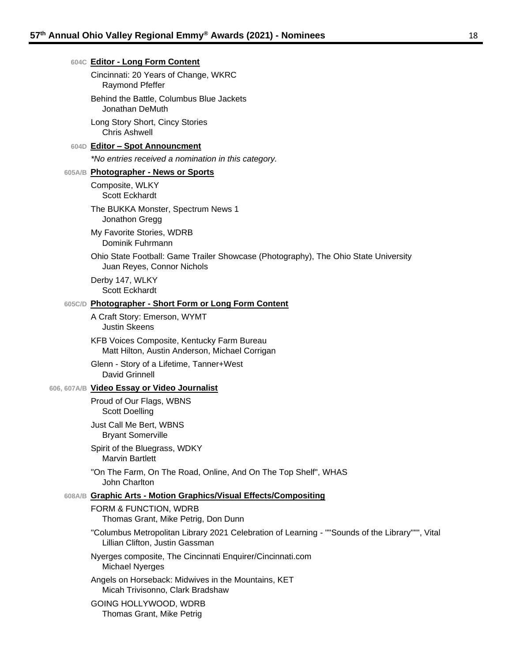#### **604C Editor - Long Form Content**

Cincinnati: 20 Years of Change, WKRC Raymond Pfeffer

Behind the Battle, Columbus Blue Jackets Jonathan DeMuth

Long Story Short, Cincy Stories Chris Ashwell

#### **604D Editor – Spot Announcment**

*\*No entries received a nomination in this category.*

#### **605A/B Photographer - News or Sports**

Composite, WLKY Scott Eckhardt

The BUKKA Monster, Spectrum News 1 Jonathon Gregg

My Favorite Stories, WDRB Dominik Fuhrmann

Ohio State Football: Game Trailer Showcase (Photography), The Ohio State University Juan Reyes, Connor Nichols

Derby 147, WLKY Scott Eckhardt

#### **605C/D Photographer - Short Form or Long Form Content**

A Craft Story: Emerson, WYMT Justin Skeens

KFB Voices Composite, Kentucky Farm Bureau Matt Hilton, Austin Anderson, Michael Corrigan

Glenn - Story of a Lifetime, Tanner+West David Grinnell

#### **606, 607A/B Video Essay or Video Journalist**

Proud of Our Flags, WBNS Scott Doelling

Just Call Me Bert, WBNS Bryant Somerville

Spirit of the Bluegrass, WDKY Marvin Bartlett

"On The Farm, On The Road, Online, And On The Top Shelf", WHAS John Charlton

#### **608A/B Graphic Arts - Motion Graphics/Visual Effects/Compositing**

FORM & FUNCTION, WDRB Thomas Grant, Mike Petrig, Don Dunn "Columbus Metropolitan Library 2021 Celebration of Learning - ""Sounds of the Library""", Vital Lillian Clifton, Justin Gassman Nyerges composite, The Cincinnati Enquirer/Cincinnati.com Michael Nyerges Angels on Horseback: Midwives in the Mountains, KET Micah Trivisonno, Clark Bradshaw GOING HOLLYWOOD, WDRB Thomas Grant, Mike Petrig